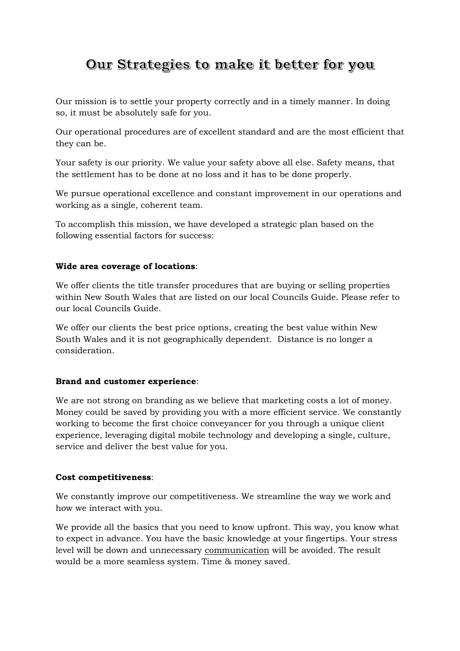# Our Strategies to make it better for you

Our mission is to settle your property correctly and in a timely manner. In doing so, it must be absolutely safe for you.

Our operational procedures are of excellent standard and are the most efficient that they can be.

Your safety is our priority. We value your safety above all else. Safety means, that the settlement has to be done at no loss and it has to be done properly.

We pursue operational excellence and constant improvement in our operations and working as a single, coherent team.

To accomplish this mission, we have developed a strategic plan based on the following essential factors for success:

### **Wide area coverage of locations**:

We offer clients the title transfer procedures that are buying or selling properties within New South Wales that are listed on our local Councils Guide. Please refer to our local Councils Guide.

We offer our clients the best price options, creating the best value within New South Wales and it is not geographically dependent. Distance is no longer a consideration.

### **Brand and customer experience**:

We are not strong on branding as we believe that marketing costs a lot of money. Money could be saved by providing you with a more efficient service. We constantly working to become the first choice conveyancer for you through a unique client experience, leveraging digital mobile technology and developing a single, culture, service and deliver the best value for you.

### **Cost competitiveness**:

We constantly improve our competitiveness. We streamline the way we work and how we interact with you.

We provide all the basics that you need to know upfront. This way, you know what to expect in advance. You have the basic knowledge at your fingertips. Your stress level will be down and unnecessary communication will be avoided. The result would be a more seamless system. Time & money saved.